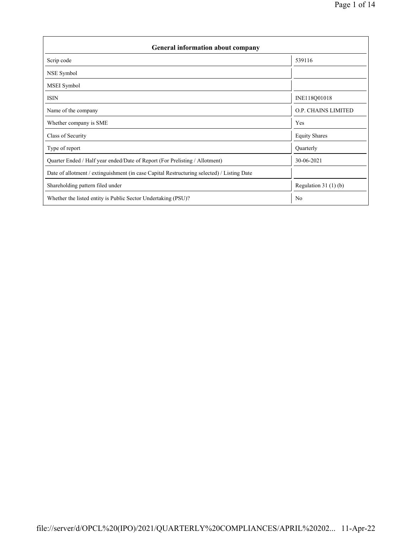| <b>General information about company</b>                                                   |                        |  |  |  |  |  |
|--------------------------------------------------------------------------------------------|------------------------|--|--|--|--|--|
| Scrip code                                                                                 | 539116                 |  |  |  |  |  |
| NSE Symbol                                                                                 |                        |  |  |  |  |  |
| MSEI Symbol                                                                                |                        |  |  |  |  |  |
| <b>ISIN</b>                                                                                | INE118Q01018           |  |  |  |  |  |
| Name of the company                                                                        | O.P. CHAINS LIMITED    |  |  |  |  |  |
| Whether company is SME                                                                     | Yes                    |  |  |  |  |  |
| Class of Security                                                                          | <b>Equity Shares</b>   |  |  |  |  |  |
| Type of report                                                                             | Quarterly              |  |  |  |  |  |
| Quarter Ended / Half year ended/Date of Report (For Prelisting / Allotment)                | 30-06-2021             |  |  |  |  |  |
| Date of allotment / extinguishment (in case Capital Restructuring selected) / Listing Date |                        |  |  |  |  |  |
| Shareholding pattern filed under                                                           | Regulation 31 $(1)(b)$ |  |  |  |  |  |
| Whether the listed entity is Public Sector Undertaking (PSU)?                              | N <sub>0</sub>         |  |  |  |  |  |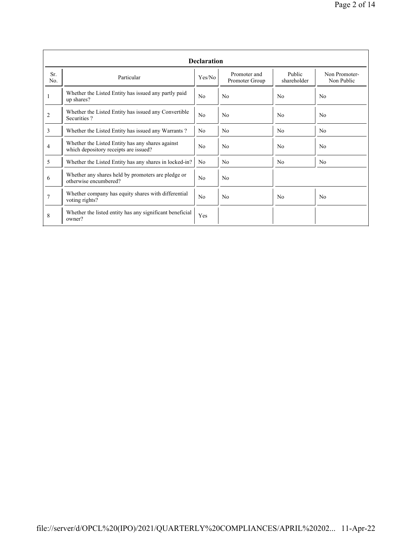|                | <b>Declaration</b>                                                                        |                |                                |                       |                             |  |  |  |  |  |
|----------------|-------------------------------------------------------------------------------------------|----------------|--------------------------------|-----------------------|-----------------------------|--|--|--|--|--|
| Sr.<br>No.     | Particular                                                                                | Yes/No         | Promoter and<br>Promoter Group | Public<br>shareholder | Non Promoter-<br>Non Public |  |  |  |  |  |
| 1              | Whether the Listed Entity has issued any partly paid<br>up shares?                        | No             | N <sub>0</sub>                 | No                    | N <sub>0</sub>              |  |  |  |  |  |
| $\overline{2}$ | Whether the Listed Entity has issued any Convertible<br>Securities?                       | No             | N <sub>0</sub>                 | N <sub>0</sub>        | N <sub>0</sub>              |  |  |  |  |  |
| 3              | Whether the Listed Entity has issued any Warrants?                                        | N <sub>0</sub> | N <sub>0</sub>                 | N <sub>o</sub>        | N <sub>0</sub>              |  |  |  |  |  |
| 4              | Whether the Listed Entity has any shares against<br>which depository receipts are issued? |                | No                             | N <sub>0</sub>        | N <sub>0</sub>              |  |  |  |  |  |
| 5              | Whether the Listed Entity has any shares in locked-in?                                    | N <sub>0</sub> | N <sub>0</sub>                 | No                    | N <sub>0</sub>              |  |  |  |  |  |
| 6              | Whether any shares held by promoters are pledge or<br>otherwise encumbered?               | No             | N <sub>0</sub>                 |                       |                             |  |  |  |  |  |
| 7              | Whether company has equity shares with differential<br>voting rights?                     | No             | N <sub>0</sub>                 | No                    | N <sub>0</sub>              |  |  |  |  |  |
| 8              | Whether the listed entity has any significant beneficial<br>owner?                        | Yes            |                                |                       |                             |  |  |  |  |  |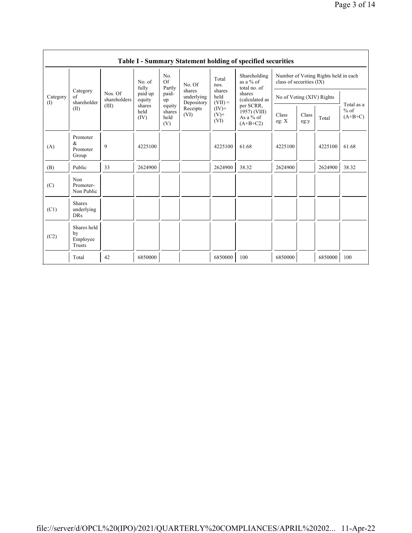|                 |                                           |                         |                        |                                 |                                    |                             | Table I - Summary Statement holding of specified securities                                                                       |                                                                  |               |         |                                   |
|-----------------|-------------------------------------------|-------------------------|------------------------|---------------------------------|------------------------------------|-----------------------------|-----------------------------------------------------------------------------------------------------------------------------------|------------------------------------------------------------------|---------------|---------|-----------------------------------|
|                 |                                           |                         | No. of<br>fully        | No.<br><b>Of</b><br>Partly      | No. Of                             | Total<br>nos.               | Shareholding<br>as a $%$ of<br>total no. of<br>shares<br>(calculated as<br>per SCRR,<br>1957) (VIII)<br>As a $%$ of<br>$(A+B+C2)$ | Number of Voting Rights held in each<br>class of securities (IX) |               |         |                                   |
| Category<br>(1) | Category<br>of<br>shareholder             | Nos. Of<br>shareholders | paid up<br>equity      | paid-<br>up                     | shares<br>underlying<br>Depository | shares<br>held<br>$(VII) =$ |                                                                                                                                   | No of Voting (XIV) Rights                                        |               |         |                                   |
|                 | (II)                                      | (III)                   | shares<br>held<br>(IV) | equity<br>shares<br>held<br>(V) | Receipts<br>(VI)                   | $(IV)$ +<br>$(V)$ +<br>(VI) |                                                                                                                                   | Class<br>eg: $X$                                                 | Class<br>eg:y | Total   | Total as a<br>$%$ of<br>$(A+B+C)$ |
| (A)             | Promoter<br>&<br>Promoter<br>Group        | 9                       | 4225100                |                                 |                                    | 4225100                     | 61.68                                                                                                                             | 4225100                                                          |               | 4225100 | 61.68                             |
| (B)             | Public                                    | 33                      | 2624900                |                                 |                                    | 2624900                     | 38.32                                                                                                                             | 2624900                                                          |               | 2624900 | 38.32                             |
| (C)             | Non<br>Promoter-<br>Non Public            |                         |                        |                                 |                                    |                             |                                                                                                                                   |                                                                  |               |         |                                   |
| (C1)            | <b>Shares</b><br>underlying<br><b>DRs</b> |                         |                        |                                 |                                    |                             |                                                                                                                                   |                                                                  |               |         |                                   |
| (C2)            | Shares held<br>by<br>Employee<br>Trusts   |                         |                        |                                 |                                    |                             |                                                                                                                                   |                                                                  |               |         |                                   |
|                 | Total                                     | 42                      | 6850000                |                                 |                                    | 6850000                     | 100                                                                                                                               | 6850000                                                          |               | 6850000 | 100                               |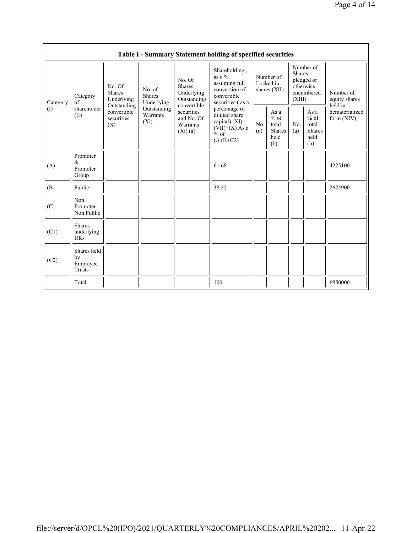|                            |                                                                                                                                                                                                                                                                                                                                                                                                                                                                                                                             |            | Table I - Summary Statement holding of specified securities |                                        |                                                         |                                                                               |  |                                       |
|----------------------------|-----------------------------------------------------------------------------------------------------------------------------------------------------------------------------------------------------------------------------------------------------------------------------------------------------------------------------------------------------------------------------------------------------------------------------------------------------------------------------------------------------------------------------|------------|-------------------------------------------------------------|----------------------------------------|---------------------------------------------------------|-------------------------------------------------------------------------------|--|---------------------------------------|
| Category                   | Shareholding,<br>as a $%$<br>No. Of<br>assuming full<br><b>Shares</b><br>No. Of<br>conversion of<br>No. of<br><b>Shares</b><br>Underlying<br><b>Shares</b><br>convertible<br>Category<br>Underlying<br>Outstanding<br>of<br>Underlying<br>convertible<br>Outstanding<br>shareholder<br>Outstanding<br>percentage of<br>convertible<br>securities<br>Warrants<br>diluted share<br>(II)<br>securities<br>and No. Of<br>$(X_i)$<br>capital) $(XI)$ =<br>Warrants<br>(X)<br>$(VII)+(X)$ As a<br>(Xi)(a)<br>$%$ of<br>$(A+B+C2)$ |            | securities (as a                                            | Number of<br>Locked in<br>shares (XII) |                                                         | Number of<br><b>Shares</b><br>pledged or<br>otherwise<br>encumbered<br>(XIII) |  | Number of<br>equity shares<br>held in |
| $\left( \mathrm{I}\right)$ |                                                                                                                                                                                                                                                                                                                                                                                                                                                                                                                             | No.<br>(a) | As a<br>$%$ of<br>total<br><b>Shares</b><br>held<br>(b)     | No.<br>(a)                             | As a<br>$%$ of<br>total<br><b>Shares</b><br>held<br>(b) | dematerialized<br>form $(XIV)$                                                |  |                                       |
| (A)                        | Promoter<br>$\&$<br>Promoter<br>Group                                                                                                                                                                                                                                                                                                                                                                                                                                                                                       |            | 61.68                                                       |                                        |                                                         |                                                                               |  | 4225100                               |
| (B)                        | Public                                                                                                                                                                                                                                                                                                                                                                                                                                                                                                                      |            | 38.32                                                       |                                        |                                                         |                                                                               |  | 2624900                               |
| (C)                        | Non<br>Promoter-<br>Non Public                                                                                                                                                                                                                                                                                                                                                                                                                                                                                              |            |                                                             |                                        |                                                         |                                                                               |  |                                       |
| (C1)                       | <b>Shares</b><br>underlying<br><b>DRs</b>                                                                                                                                                                                                                                                                                                                                                                                                                                                                                   |            |                                                             |                                        |                                                         |                                                                               |  |                                       |
| (C2)                       | Shares held<br>by<br>Employee<br>Trusts                                                                                                                                                                                                                                                                                                                                                                                                                                                                                     |            |                                                             |                                        |                                                         |                                                                               |  |                                       |
|                            | Total                                                                                                                                                                                                                                                                                                                                                                                                                                                                                                                       |            | 100                                                         |                                        |                                                         |                                                                               |  | 6850000                               |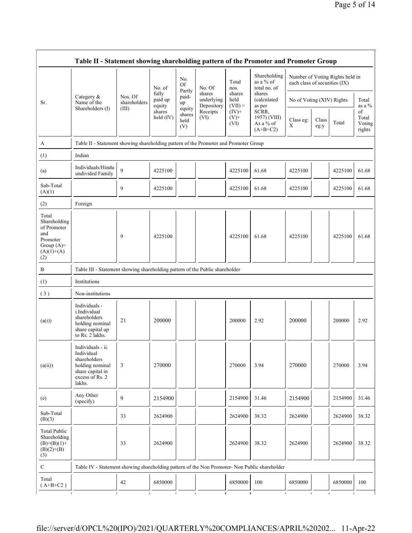|                                                                                                | Category &<br>Name of the                                                                                           |                         | No. of<br>fully<br>paid up<br>equity | No.<br><b>Of</b><br>Partly      | No. Of<br>shares         | Total<br>nos.<br>shares    | Shareholding<br>as a $%$ of<br>total no. of<br>shares | Number of Voting Rights held in<br>each class of securities (IX) |               |         |                                 |
|------------------------------------------------------------------------------------------------|---------------------------------------------------------------------------------------------------------------------|-------------------------|--------------------------------------|---------------------------------|--------------------------|----------------------------|-------------------------------------------------------|------------------------------------------------------------------|---------------|---------|---------------------------------|
| Sr.                                                                                            |                                                                                                                     | Nos. Of<br>shareholders |                                      | paid-<br>up                     | underlying<br>Depository | held<br>$(VII) =$          | (calculated<br>as per                                 | No of Voting (XIV) Rights                                        |               |         | Total<br>as a %                 |
|                                                                                                | Shareholders (I)                                                                                                    | (III)                   | shares<br>held (IV)                  | equity<br>shares<br>held<br>(V) | Receipts<br>(VI)         | $(IV)+$<br>$(V)$ +<br>(VI) | SCRR,<br>1957) (VIII)<br>As a % of<br>$(A+B+C2)$      | Class eg:<br>X                                                   | Class<br>eg:y | Total   | of<br>Total<br>Voting<br>rights |
| A                                                                                              | Table II - Statement showing shareholding pattern of the Promoter and Promoter Group                                |                         |                                      |                                 |                          |                            |                                                       |                                                                  |               |         |                                 |
| (1)                                                                                            | Indian                                                                                                              |                         |                                      |                                 |                          |                            |                                                       |                                                                  |               |         |                                 |
| (a)                                                                                            | Individuals/Hindu<br>undivided Family                                                                               | 9                       | 4225100                              |                                 |                          | 4225100                    | 61.68                                                 | 4225100                                                          |               | 4225100 | 61.68                           |
| Sub-Total<br>(A)(1)                                                                            |                                                                                                                     | 9                       | 4225100                              |                                 |                          | 4225100                    | 61.68                                                 | 4225100                                                          |               | 4225100 | 61.68                           |
| (2)                                                                                            | Foreign                                                                                                             |                         |                                      |                                 |                          |                            |                                                       |                                                                  |               |         |                                 |
| Total<br>Shareholding<br>of Promoter<br>and<br>Promoter<br>Group $(A)=$<br>$(A)(1)+(A)$<br>(2) |                                                                                                                     | 9                       | 4225100                              |                                 |                          | 4225100                    | 61.68                                                 | 4225100                                                          |               | 4225100 | 61.68                           |
| B                                                                                              | Table III - Statement showing shareholding pattern of the Public shareholder                                        |                         |                                      |                                 |                          |                            |                                                       |                                                                  |               |         |                                 |
| (1)                                                                                            | Institutions                                                                                                        |                         |                                      |                                 |                          |                            |                                                       |                                                                  |               |         |                                 |
| (3)                                                                                            | Non-institutions                                                                                                    |                         |                                      |                                 |                          |                            |                                                       |                                                                  |               |         |                                 |
| (a(i))                                                                                         | Individuals -<br>i.Individual<br>shareholders<br>holding nominal<br>share capital up<br>to Rs. 2 lakhs.             | 21                      | 200000                               |                                 |                          | 200000                     | 2.92                                                  | 200000                                                           |               | 200000  | 2.92                            |
| (a(ii))                                                                                        | Individuals - ii.<br>Individual<br>shareholders<br>holding nominal<br>share capital in<br>excess of Rs. 2<br>lakhs. | 3                       | 270000                               |                                 |                          | 270000                     | 3.94                                                  | 270000                                                           |               | 270000  | 3.94                            |
| (e)                                                                                            | Any Other<br>(specify)                                                                                              | 9                       | 2154900                              |                                 |                          | 2154900                    | 31.46                                                 | 2154900                                                          |               | 2154900 | 31.46                           |
| Sub-Total<br>(B)(3)                                                                            |                                                                                                                     | 33                      | 2624900                              |                                 |                          | 2624900                    | 38.32                                                 | 2624900                                                          |               | 2624900 | 38.32                           |
| <b>Total Public</b><br>Shareholding<br>$(B)= (B)(1) +$<br>$(B)(2)+(B)$<br>(3)                  |                                                                                                                     | 33                      | 2624900                              |                                 |                          | 2624900                    | 38.32                                                 | 2624900                                                          |               | 2624900 | 38.32                           |
| ${\bf C}$                                                                                      | Table IV - Statement showing shareholding pattern of the Non Promoter- Non Public shareholder                       |                         |                                      |                                 |                          |                            |                                                       |                                                                  |               |         |                                 |
| Total                                                                                          |                                                                                                                     |                         |                                      |                                 |                          |                            |                                                       |                                                                  |               |         |                                 |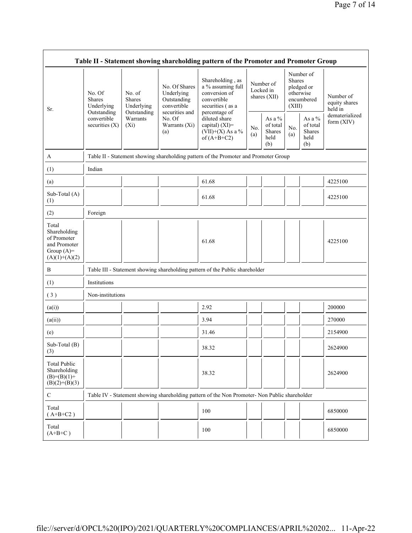|                                                                                         |                                                                                       |                                                                      |                                                                                                               | Table II - Statement showing shareholding pattern of the Promoter and Promoter Group                                                                                                 |            |                                             |                                                                               |                                                       |                                       |
|-----------------------------------------------------------------------------------------|---------------------------------------------------------------------------------------|----------------------------------------------------------------------|---------------------------------------------------------------------------------------------------------------|--------------------------------------------------------------------------------------------------------------------------------------------------------------------------------------|------------|---------------------------------------------|-------------------------------------------------------------------------------|-------------------------------------------------------|---------------------------------------|
| Sr.                                                                                     | No. Of<br><b>Shares</b><br>Underlying<br>Outstanding<br>convertible<br>securities (X) | No. of<br>Shares<br>Underlying<br>Outstanding<br>Warrants<br>$(X_i)$ | No. Of Shares<br>Underlying<br>Outstanding<br>convertible<br>securities and<br>No. Of<br>Warrants (Xi)<br>(a) | Shareholding, as<br>a % assuming full<br>conversion of<br>convertible<br>securities (as a<br>percentage of<br>diluted share<br>capital) (XI)=<br>$(VII)+(X)$ As a %<br>of $(A+B+C2)$ |            | Number of<br>Locked in<br>shares (XII)      | Number of<br><b>Shares</b><br>pledged or<br>otherwise<br>encumbered<br>(XIII) |                                                       | Number of<br>equity shares<br>held in |
|                                                                                         |                                                                                       |                                                                      |                                                                                                               |                                                                                                                                                                                      | No.<br>(a) | As a %<br>of total<br>Shares<br>held<br>(b) | No.<br>(a)                                                                    | As a $\%$<br>of total<br><b>Shares</b><br>held<br>(b) | dematerialized<br>form (XIV)          |
| A                                                                                       | Table II - Statement showing shareholding pattern of the Promoter and Promoter Group  |                                                                      |                                                                                                               |                                                                                                                                                                                      |            |                                             |                                                                               |                                                       |                                       |
| (1)                                                                                     | Indian                                                                                |                                                                      |                                                                                                               |                                                                                                                                                                                      |            |                                             |                                                                               |                                                       |                                       |
| (a)                                                                                     |                                                                                       |                                                                      |                                                                                                               | 61.68                                                                                                                                                                                |            |                                             |                                                                               |                                                       | 4225100                               |
| Sub-Total (A)<br>(1)                                                                    |                                                                                       |                                                                      |                                                                                                               | 61.68                                                                                                                                                                                |            |                                             |                                                                               |                                                       | 4225100                               |
| (2)                                                                                     | Foreign                                                                               |                                                                      |                                                                                                               |                                                                                                                                                                                      |            |                                             |                                                                               |                                                       |                                       |
| Total<br>Shareholding<br>of Promoter<br>and Promoter<br>Group $(A)=$<br>$(A)(1)+(A)(2)$ |                                                                                       |                                                                      |                                                                                                               | 61.68                                                                                                                                                                                |            |                                             |                                                                               |                                                       | 4225100                               |
| B                                                                                       |                                                                                       |                                                                      |                                                                                                               | Table III - Statement showing shareholding pattern of the Public shareholder                                                                                                         |            |                                             |                                                                               |                                                       |                                       |
| (1)                                                                                     | Institutions                                                                          |                                                                      |                                                                                                               |                                                                                                                                                                                      |            |                                             |                                                                               |                                                       |                                       |
| (3)                                                                                     | Non-institutions                                                                      |                                                                      |                                                                                                               |                                                                                                                                                                                      |            |                                             |                                                                               |                                                       |                                       |
| (a(i))                                                                                  |                                                                                       |                                                                      |                                                                                                               | 2.92                                                                                                                                                                                 |            |                                             |                                                                               |                                                       | 200000                                |
| (a(ii))                                                                                 |                                                                                       |                                                                      |                                                                                                               | 3.94                                                                                                                                                                                 |            |                                             |                                                                               |                                                       | 270000                                |
| (e)                                                                                     |                                                                                       |                                                                      |                                                                                                               | 31.46                                                                                                                                                                                |            |                                             |                                                                               |                                                       | 2154900                               |
| Sub-Total (B)<br>(3)                                                                    |                                                                                       |                                                                      |                                                                                                               | 38.32                                                                                                                                                                                |            |                                             |                                                                               |                                                       | 2624900                               |
| <b>Total Public</b><br>Shareholding<br>$(B)= (B)(1) +$<br>$(B)(2)+(B)(3)$               |                                                                                       |                                                                      |                                                                                                               | 38.32                                                                                                                                                                                |            |                                             |                                                                               |                                                       | 2624900                               |
| $\mathbf C$                                                                             |                                                                                       |                                                                      |                                                                                                               | Table IV - Statement showing shareholding pattern of the Non Promoter- Non Public shareholder                                                                                        |            |                                             |                                                                               |                                                       |                                       |
| Total<br>$(A+B+C2)$                                                                     |                                                                                       |                                                                      |                                                                                                               | 100                                                                                                                                                                                  |            |                                             |                                                                               |                                                       | 6850000                               |
| Total<br>$(A+B+C)$                                                                      |                                                                                       |                                                                      |                                                                                                               | 100                                                                                                                                                                                  |            |                                             |                                                                               |                                                       | 6850000                               |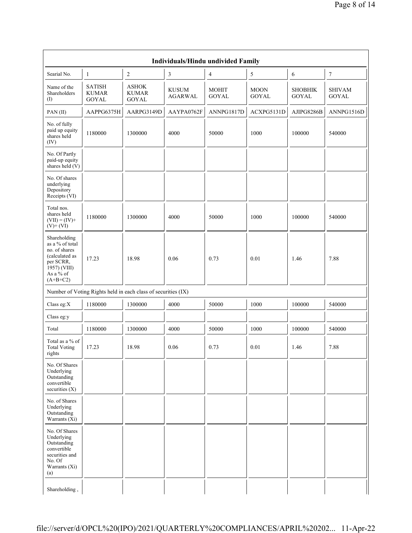| -1                                            | $\overline{c}$                               | $\mathfrak z$                  | $\overline{4}$                                                | 5                           | 6                                  | $\boldsymbol{7}$              |
|-----------------------------------------------|----------------------------------------------|--------------------------------|---------------------------------------------------------------|-----------------------------|------------------------------------|-------------------------------|
| <b>SATISH</b><br><b>KUMAR</b><br><b>GOYAL</b> | <b>ASHOK</b><br><b>KUMAR</b><br><b>GOYAL</b> | <b>KUSUM</b><br><b>AGARWAL</b> | <b>MOHIT</b><br><b>GOYAL</b>                                  | <b>MOON</b><br><b>GOYAL</b> | <b>SHOBHIK</b><br><b>GOYAL</b>     | <b>SHIVAM</b><br><b>GOYAL</b> |
| AAPPG6375H                                    | AARPG3149D                                   | AAYPA0762F                     | ANNPG1817D                                                    | ACXPG5131D                  | AJIPG8286B                         | ANNPG1516D                    |
| 1180000                                       | 1300000                                      | 4000                           | 50000                                                         | 1000                        | 100000                             | 540000                        |
|                                               |                                              |                                |                                                               |                             |                                    |                               |
|                                               |                                              |                                |                                                               |                             |                                    |                               |
| 1180000                                       | 1300000                                      | 4000                           | 50000                                                         | 1000                        | 100000                             | 540000                        |
| 17.23                                         | 18.98                                        | 0.06                           | 0.73                                                          | 0.01                        | 1.46                               | 7.88                          |
|                                               |                                              |                                |                                                               |                             |                                    |                               |
| 1180000                                       | 1300000                                      | 4000                           | 50000                                                         | 1000                        | 100000                             | 540000                        |
|                                               |                                              |                                |                                                               |                             |                                    |                               |
| 1180000                                       | 1300000                                      | 4000                           | 50000                                                         | 1000                        | 100000                             | 540000                        |
| 17.23                                         | 18.98                                        | 0.06                           | 0.73                                                          | $0.01\,$                    | 1.46                               | 7.88                          |
|                                               |                                              |                                |                                                               |                             |                                    |                               |
|                                               |                                              |                                |                                                               |                             |                                    |                               |
|                                               |                                              |                                |                                                               |                             |                                    |                               |
|                                               |                                              |                                | Number of Voting Rights held in each class of securities (IX) |                             | Individuals/Hindu undivided Family |                               |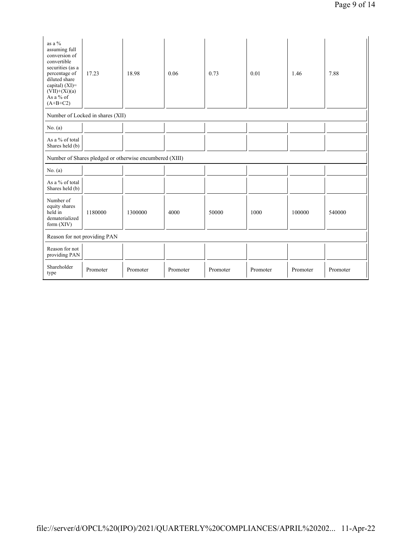| as a %<br>assuming full<br>conversion of<br>convertible<br>securities (as a<br>percentage of<br>diluted share<br>capital) $(XI)$ =<br>$(VII)+(Xi)(a)$<br>As a % of<br>$(A+B+C2)$ | 17.23                            | 18.98                                                   | 0.06     | 0.73     | 0.01     | 1.46     | 7.88     |
|----------------------------------------------------------------------------------------------------------------------------------------------------------------------------------|----------------------------------|---------------------------------------------------------|----------|----------|----------|----------|----------|
|                                                                                                                                                                                  | Number of Locked in shares (XII) |                                                         |          |          |          |          |          |
| No. $(a)$                                                                                                                                                                        |                                  |                                                         |          |          |          |          |          |
| As a % of total<br>Shares held (b)                                                                                                                                               |                                  |                                                         |          |          |          |          |          |
|                                                                                                                                                                                  |                                  | Number of Shares pledged or otherwise encumbered (XIII) |          |          |          |          |          |
| No. $(a)$                                                                                                                                                                        |                                  |                                                         |          |          |          |          |          |
| As a % of total<br>Shares held (b)                                                                                                                                               |                                  |                                                         |          |          |          |          |          |
| Number of<br>equity shares<br>held in<br>dematerialized<br>form $(XIV)$                                                                                                          | 1180000                          | 1300000                                                 | 4000     | 50000    | 1000     | 100000   | 540000   |
| Reason for not providing PAN                                                                                                                                                     |                                  |                                                         |          |          |          |          |          |
| Reason for not<br>providing PAN                                                                                                                                                  |                                  |                                                         |          |          |          |          |          |
| Shareholder<br>type                                                                                                                                                              | Promoter                         | Promoter                                                | Promoter | Promoter | Promoter | Promoter | Promoter |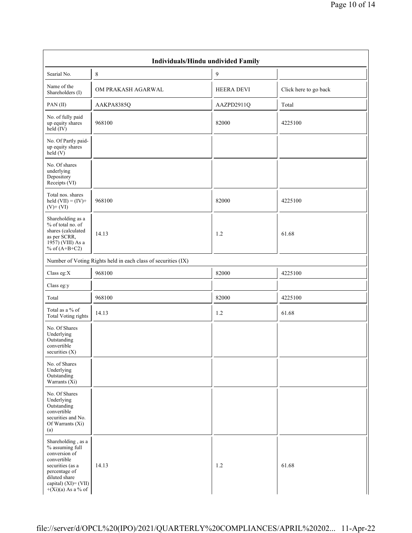|                                                                                                                                                                             | Individuals/Hindu undivided Family                            |                   |                       |
|-----------------------------------------------------------------------------------------------------------------------------------------------------------------------------|---------------------------------------------------------------|-------------------|-----------------------|
| Searial No.                                                                                                                                                                 | 8                                                             | 9                 |                       |
| Name of the<br>Shareholders (I)                                                                                                                                             | OM PRAKASH AGARWAL                                            | <b>HEERA DEVI</b> | Click here to go back |
| PAN(II)                                                                                                                                                                     | AAKPA8385Q                                                    | AAZPD2911Q        | Total                 |
| No. of fully paid<br>up equity shares<br>held (IV)                                                                                                                          | 968100                                                        | 82000             | 4225100               |
| No. Of Partly paid-<br>up equity shares<br>held(V)                                                                                                                          |                                                               |                   |                       |
| No. Of shares<br>underlying<br>Depository<br>Receipts (VI)                                                                                                                  |                                                               |                   |                       |
| Total nos. shares<br>held $(VII) = (IV) +$<br>$(V)$ + $(VI)$                                                                                                                | 968100                                                        | 82000             | 4225100               |
| Shareholding as a<br>% of total no. of<br>shares (calculated<br>as per SCRR,<br>1957) (VIII) As a<br>% of $(A+B+C2)$                                                        | 14.13                                                         | 1.2               | 61.68                 |
|                                                                                                                                                                             | Number of Voting Rights held in each class of securities (IX) |                   |                       |
| Class eg: $X$                                                                                                                                                               | 968100                                                        | 82000             | 4225100               |
| Class eg:y                                                                                                                                                                  |                                                               |                   |                       |
| Total                                                                                                                                                                       | 968100                                                        | 82000             | 4225100               |
| Total as a % of<br><b>Total Voting rights</b>                                                                                                                               | 14.13                                                         | 1.2               | 61.68                 |
| No. Of Shares<br>Underlying<br>Outstanding<br>convertible<br>securities (X)                                                                                                 |                                                               |                   |                       |
| No. of Shares<br>Underlying<br>Outstanding<br>Warrants $(X_i)$                                                                                                              |                                                               |                   |                       |
| No. Of Shares<br>Underlying<br>Outstanding<br>convertible<br>securities and No.<br>Of Warrants (Xi)<br>(a)                                                                  |                                                               |                   |                       |
| Shareholding, as a<br>% assuming full<br>conversion of<br>convertible<br>securities (as a<br>percentage of<br>diluted share<br>capital) (XI)= (VII)<br>$+(Xi)(a)$ As a % of | 14.13                                                         | 1.2               | 61.68                 |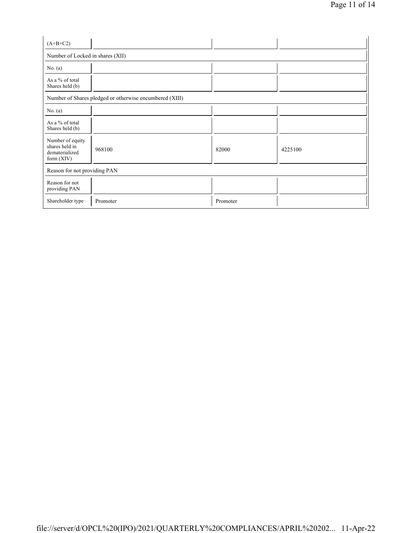| $(A+B+C2)$                                                           |                                                         |          |         |  |  |  |  |  |  |
|----------------------------------------------------------------------|---------------------------------------------------------|----------|---------|--|--|--|--|--|--|
| Number of Locked in shares (XII)                                     |                                                         |          |         |  |  |  |  |  |  |
| No. $(a)$                                                            |                                                         |          |         |  |  |  |  |  |  |
| As a % of total<br>Shares held (b)                                   |                                                         |          |         |  |  |  |  |  |  |
|                                                                      | Number of Shares pledged or otherwise encumbered (XIII) |          |         |  |  |  |  |  |  |
| No. $(a)$                                                            |                                                         |          |         |  |  |  |  |  |  |
| As a % of total<br>Shares held (b)                                   |                                                         |          |         |  |  |  |  |  |  |
| Number of equity<br>shares held in<br>dematerialized<br>form $(XIV)$ | 968100                                                  | 82000    | 4225100 |  |  |  |  |  |  |
|                                                                      | Reason for not providing PAN                            |          |         |  |  |  |  |  |  |
| Reason for not<br>providing PAN                                      |                                                         |          |         |  |  |  |  |  |  |
| Shareholder type                                                     | Promoter                                                | Promoter |         |  |  |  |  |  |  |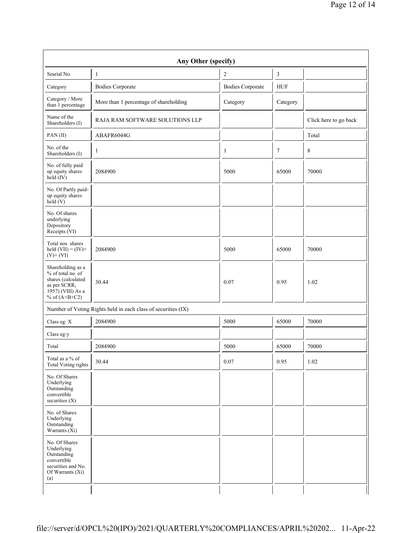|                                                                                                                                    | Any Other (specify)                                           |                         |                |                       |
|------------------------------------------------------------------------------------------------------------------------------------|---------------------------------------------------------------|-------------------------|----------------|-----------------------|
| Searial No.                                                                                                                        | $\mathbf{1}$                                                  | $\sqrt{2}$              | $\mathfrak{Z}$ |                       |
| Category                                                                                                                           | <b>Bodies Corporate</b>                                       | <b>Bodies Corporate</b> | <b>HUF</b>     |                       |
| Category / More<br>than 1 percentage                                                                                               | More than 1 percentage of shareholding                        | Category                | Category       |                       |
| Name of the<br>Shareholders (I)                                                                                                    | RAJA RAM SOFTWARE SOLUTIONS LLP                               |                         |                | Click here to go back |
| PAN(II)                                                                                                                            | ABAFR6044G                                                    |                         |                | Total                 |
| No. of the<br>Shareholders (I)                                                                                                     | $\mathbf{1}$                                                  | 1                       | $\tau$         | 8                     |
| No. of fully paid<br>up equity shares<br>$\text{held}(\text{IV})$                                                                  | 2084900                                                       | 5000                    | 65000          | 70000                 |
| No. Of Partly paid-<br>up equity shares<br>held $(V)$                                                                              |                                                               |                         |                |                       |
| No. Of shares<br>underlying<br>Depository<br>Receipts (VI)                                                                         |                                                               |                         |                |                       |
| Total nos. shares<br>held $(VII) = (IV) +$<br>$(V)$ + $(VI)$                                                                       | 2084900                                                       | 5000                    | 65000          | 70000                 |
| Shareholding as a<br>% of total no. of<br>shares (calculated<br>as per SCRR,<br>$19\overline{57}$ ) (VIII) As a<br>% of $(A+B+C2)$ | 30.44                                                         | 0.07                    | 0.95           | 1.02                  |
|                                                                                                                                    | Number of Voting Rights held in each class of securities (IX) |                         |                |                       |
| Class eg: X                                                                                                                        | 2084900                                                       | 5000                    | 65000          | 70000                 |
| Class eg:y                                                                                                                         |                                                               |                         |                |                       |
| Total                                                                                                                              | 2084900                                                       | 5000                    | 65000          | 70000                 |
| Total as a % of<br><b>Total Voting rights</b>                                                                                      | 30.44                                                         | $0.07\,$                | 0.95           | 1.02                  |
| No. Of Shares<br>Underlying<br>Outstanding<br>convertible<br>securities $(X)$                                                      |                                                               |                         |                |                       |
| No. of Shares<br>Underlying<br>Outstanding<br>Warrants (Xi)                                                                        |                                                               |                         |                |                       |
| No. Of Shares<br>Underlying<br>Outstanding<br>convertible<br>securities and No.<br>Of Warrants (Xi)<br>(a)                         |                                                               |                         |                |                       |
|                                                                                                                                    |                                                               |                         |                |                       |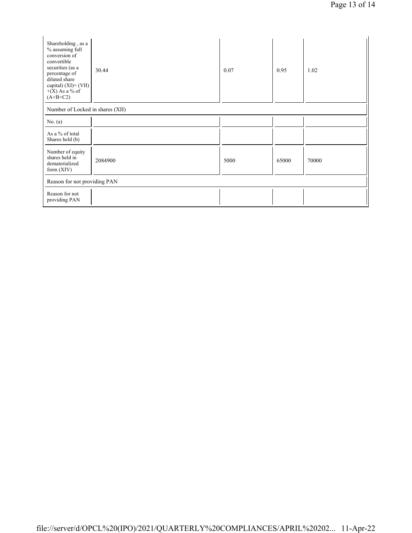| Shareholding, as a<br>% assuming full<br>conversion of<br>convertible<br>securities (as a<br>percentage of<br>diluted share<br>capital) $(XI) = (VII)$<br>$+(X)$ As a % of<br>$(A+B+C2)$ | 30.44   | 0.07 | 0.95  | 1.02  |
|------------------------------------------------------------------------------------------------------------------------------------------------------------------------------------------|---------|------|-------|-------|
| Number of Locked in shares (XII)                                                                                                                                                         |         |      |       |       |
| No. $(a)$                                                                                                                                                                                |         |      |       |       |
| As a % of total<br>Shares held (b)                                                                                                                                                       |         |      |       |       |
| Number of equity<br>shares held in<br>dematerialized<br>form $(XIV)$                                                                                                                     | 2084900 | 5000 | 65000 | 70000 |
| Reason for not providing PAN                                                                                                                                                             |         |      |       |       |
| Reason for not<br>providing PAN                                                                                                                                                          |         |      |       |       |